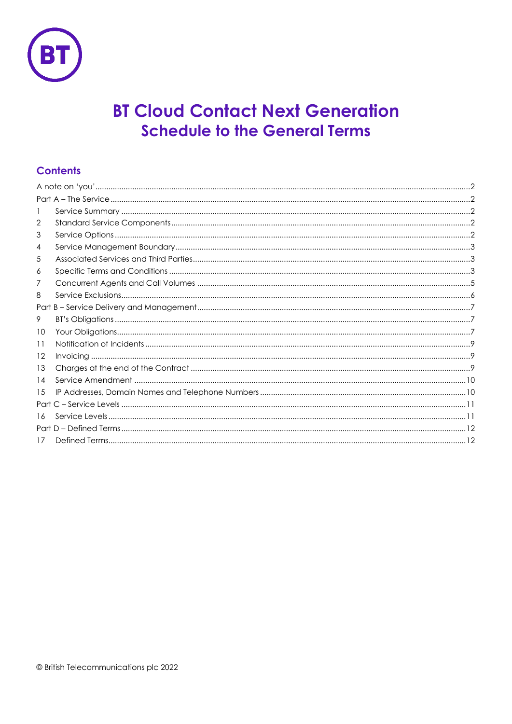

# **BT Cloud Contact Next Generation Schedule to the General Terms**

# **Contents**

| -1      |  |  |
|---------|--|--|
| 2       |  |  |
| 3       |  |  |
| 4       |  |  |
| 5       |  |  |
| 6       |  |  |
| 7       |  |  |
| 8       |  |  |
|         |  |  |
| 9       |  |  |
| 10      |  |  |
| 11      |  |  |
| $12 \,$ |  |  |
| 13      |  |  |
| 14      |  |  |
| 15      |  |  |
|         |  |  |
| 16      |  |  |
|         |  |  |
| 17      |  |  |
|         |  |  |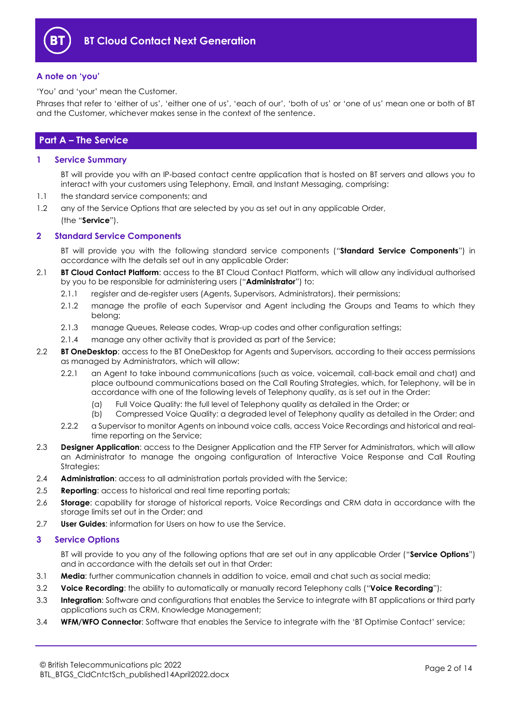

#### <span id="page-1-0"></span>**A note on 'you'**

'You' and 'your' mean the Customer.

Phrases that refer to 'either of us', 'either one of us', 'each of our', 'both of us' or 'one of us' mean one or both of BT and the Customer, whichever makes sense in the context of the sentence.

### <span id="page-1-1"></span>**Part A – The Service**

#### <span id="page-1-2"></span>**1 Service Summary**

BT will provide you with an IP-based contact centre application that is hosted on BT servers and allows you to interact with your customers using Telephony, Email, and Instant Messaging, comprising:

- 1.1 the standard service components; and
- 1.2 any of the Service Options that are selected by you as set out in any applicable Order,
	- (the "**Service**").

#### <span id="page-1-3"></span>**2 Standard Service Components**

BT will provide you with the following standard service components ("**Standard Service Components**") in accordance with the details set out in any applicable Order:

- <span id="page-1-5"></span>2.1 **BT Cloud Contact Platform**: access to the BT Cloud Contact Platform, which will allow any individual authorised by you to be responsible for administering users ("**Administrator**") to:
	- 2.1.1 register and de-register users (Agents, Supervisors, Administrators), their permissions;
	- 2.1.2 manage the profile of each Supervisor and Agent including the Groups and Teams to which they belong;
	- 2.1.3 manage Queues, Release codes, Wrap-up codes and other configuration settings;
	- 2.1.4 manage any other activity that is provided as part of the Service;
- 2.2 **BT OneDesktop**: access to the BT OneDesktop for Agents and Supervisors, according to their access permissions as managed by Administrators, which will allow:
	- 2.2.1 an Agent to take inbound communications (such as voice, voicemail, call-back email and chat) and place outbound communications based on the Call Routing Strategies, which, for Telephony, will be in accordance with one of the following levels of Telephony quality, as is set out in the Order:
		- (a) Full Voice Quality: the full level of Telephony quality as detailed in the Order; or
		- (b) Compressed Voice Quality: a degraded level of Telephony quality as detailed in the Order; and
	- 2.2.2 a Supervisor to monitor Agents on inbound voice calls, access Voice Recordings and historical and realtime reporting on the Service;
- 2.3 **Designer Application**: access to the Designer Application and the FTP Server for Administrators, which will allow an Administrator to manage the ongoing configuration of Interactive Voice Response and Call Routing Strategies;
- 2.4 **Administration**: access to all administration portals provided with the Service;
- 2.5 **Reporting**: access to historical and real time reporting portals;
- 2.6 **Storage**: capability for storage of historical reports, Voice Recordings and CRM data in accordance with the storage limits set out in the Order; and
- 2.7 **User Guides**: information for Users on how to use the Service.

#### <span id="page-1-4"></span>**3 Service Options**

BT will provide to you any of the following options that are set out in any applicable Order ("**Service Options**") and in accordance with the details set out in that Order:

- 3.1 **Media**: further communication channels in addition to voice, email and chat such as social media;
- <span id="page-1-6"></span>3.2 **Voice Recording**: the ability to automatically or manually record Telephony calls ("**Voice Recording**");
- 3.3 **Integration**: Software and configurations that enables the Service to integrate with BT applications or third party applications such as CRM, Knowledge Management;
- 3.4 **WFM/WFO Connector**: Software that enables the Service to integrate with the 'BT Optimise Contact' service;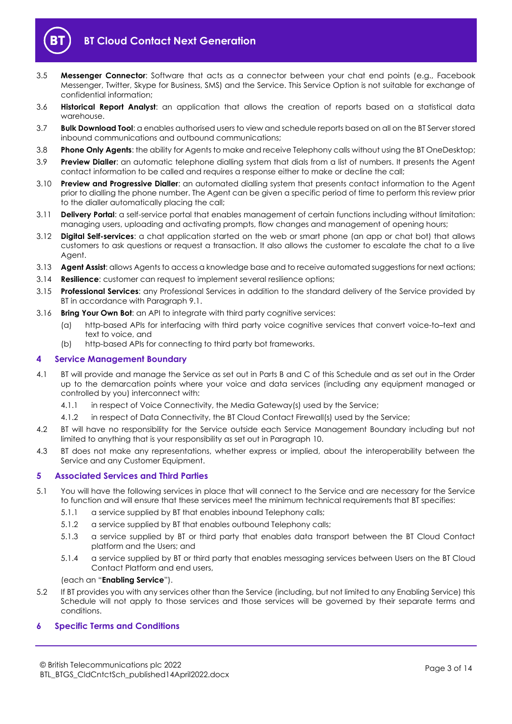

- 3.5 **Messenger Connector**: Software that acts as a connector between your chat end points (e.g., Facebook Messenger, Twitter, Skype for Business, SMS) and the Service. This Service Option is not suitable for exchange of confidential information;
- 3.6 **Historical Report Analyst**: an application that allows the creation of reports based on a statistical data warehouse.
- 3.7 **Bulk Download Tool**: a enables authorised users to view and schedule reports based on all on the BT Server stored inbound communications and outbound communications;
- 3.8 **Phone Only Agents**: the ability for Agents to make and receive Telephony calls without using the BT OneDesktop;
- <span id="page-2-5"></span>3.9 **Preview Dialler**: an automatic telephone dialling system that dials from a list of numbers. It presents the Agent contact information to be called and requires a response either to make or decline the call;
- <span id="page-2-4"></span>3.10 **Preview and Progressive Dialler**: an automated dialling system that presents contact information to the Agent prior to dialling the phone number. The Agent can be given a specific period of time to perform this review prior to the dialler automatically placing the call;
- 3.11 **Delivery Portal**: a self-service portal that enables management of certain functions including without limitation: managing users, uploading and activating prompts, flow changes and management of opening hours;
- 3.12 **Digital Self-services**: a chat application started on the web or smart phone (an app or chat bot) that allows customers to ask questions or request a transaction. It also allows the customer to escalate the chat to a live Agent.
- 3.13 **Agent Assist**: allows Agents to access a knowledge base and to receive automated suggestions for next actions;
- 3.14 **Resilience**: customer can request to implement several resilience options;
- 3.15 **Professional Services**: any Professional Services in addition to the standard delivery of the Service provided by BT in accordance with Paragraph [9.1.](#page-6-3)
- 3.16 **Bring Your Own Bot**: an API to integrate with third party cognitive services:
	- (a) http-based APIs for interfacing with third party voice cognitive services that convert voice-to–text and text to voice, and
	- (b) http-based APIs for connecting to third party bot frameworks.

#### <span id="page-2-0"></span>**4 Service Management Boundary**

- 4.1 BT will provide and manage the Service as set out in Parts B and C of this Schedule and as set out in the Order up to the demarcation points where your voice and data services (including any equipment managed or controlled by you) interconnect with:
	- 4.1.1 in respect of Voice Connectivity, the Media Gateway(s) used by the Service;
	- 4.1.2 in respect of Data Connectivity, the BT Cloud Contact Firewall(s) used by the Service;
- 4.2 BT will have no responsibility for the Service outside each Service Management Boundary including but not limited to anything that is your responsibility as set out in Paragraph [10.](#page-6-2)
- 4.3 BT does not make any representations, whether express or implied, about the interoperability between the Service and any Customer Equipment.

#### <span id="page-2-1"></span>**5 Associated Services and Third Parties**

- <span id="page-2-3"></span>5.1 You will have the following services in place that will connect to the Service and are necessary for the Service to function and will ensure that these services meet the minimum technical requirements that BT specifies:
	- 5.1.1 a service supplied by BT that enables inbound Telephony calls;
	- 5.1.2 a service supplied by BT that enables outbound Telephony calls;
	- 5.1.3 a service supplied by BT or third party that enables data transport between the BT Cloud Contact platform and the Users; and
	- 5.1.4 a service supplied by BT or third party that enables messaging services between Users on the BT Cloud Contact Platform and end users,

#### (each an "**Enabling Service**").

5.2 If BT provides you with any services other than the Service (including, but not limited to any Enabling Service) this Schedule will not apply to those services and those services will be governed by their separate terms and conditions.

#### <span id="page-2-2"></span>**6 Specific Terms and Conditions**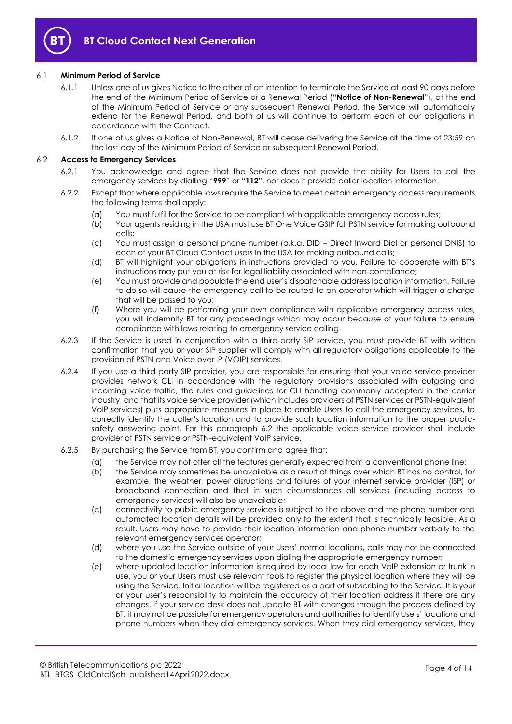

#### <span id="page-3-1"></span>6.1 **Minimum Period of Service**

- 6.1.1 Unless one of us gives Notice to the other of an intention to terminate the Service at least 90 days before the end of the Minimum Period of Service or a Renewal Period ("**Notice of Non-Renewal**"), at the end of the Minimum Period of Service or any subsequent Renewal Period, the Service will automatically extend for the Renewal Period, and both of us will continue to perform each of our obligations in accordance with the Contract.
- 6.1.2 If one of us gives a Notice of Non-Renewal, BT will cease delivering the Service at the time of 23:59 on the last day of the Minimum Period of Service or subsequent Renewal Period.

#### <span id="page-3-0"></span>6.2 **Access to Emergency Services**

- 6.2.1 You acknowledge and agree that the Service does not provide the ability for Users to call the emergency services by dialling "**999**" or "**112**", nor does it provide caller location information.
- 6.2.2 Except that where applicable laws require the Service to meet certain emergency access requirements the following terms shall apply:
	- (a) You must fulfil for the Service to be compliant with applicable emergency access rules;
	- (b) Your agents residing in the USA must use BT One Voice GSIP full PSTN service for making outbound calls;
	- (c) You must assign a personal phone number (a.k.a. DID = Direct Inward Dial or personal DNIS) to each of your BT Cloud Contact users in the USA for making outbound calls;
	- (d) BT will highlight your obligations in instructions provided to you. Failure to cooperate with BT's instructions may put you at risk for legal liability associated with non-compliance;
	- (e) You must provide and populate the end user's dispatchable address location information. Failure to do so will cause the emergency call to be routed to an operator which will trigger a charge that will be passed to you;
	- (f) Where you will be performing your own compliance with applicable emergency access rules, you will indemnify BT for any proceedings which may occur because of your failure to ensure compliance with laws relating to emergency service calling.
- 6.2.3 If the Service is used in conjunction with a third-party SIP service, you must provide BT with written confirmation that you or your SIP supplier will comply with all regulatory obligations applicable to the provision of PSTN and Voice over IP (VOIP) services.
- 6.2.4 If you use a third party SIP provider, you are responsible for ensuring that your voice service provider provides network CLI in accordance with the regulatory provisions associated with outgoing and incoming voice traffic, the rules and guidelines for CLI handling commonly accepted in the carrier industry, and that its voice service provider (which includes providers of PSTN services or PSTN-equivalent VoIP services) puts appropriate measures in place to enable Users to call the emergency services, to correctly identify the caller's location and to provide such location information to the proper publicsafety answering point. For this paragraph [6.2](#page-3-0) the applicable voice service provider shall include provider of PSTN service or PSTN-equivalent VoIP service.
- 6.2.5 By purchasing the Service from BT, you confirm and agree that:
	- (a) the Service may not offer all the features generally expected from a conventional phone line;
	- (b) the Service may sometimes be unavailable as a result of things over which BT has no control, for example, the weather, power disruptions and failures of your internet service provider (ISP) or broadband connection and that in such circumstances all services (including access to emergency services) will also be unavailable;
	- (c) connectivity to public emergency services is subject to the above and the phone number and automated location details will be provided only to the extent that is technically feasible. As a result, Users may have to provide their location information and phone number verbally to the relevant emergency services operator;
	- (d) where you use the Service outside of your Users' normal locations, calls may not be connected to the domestic emergency services upon dialing the appropriate emergency number;
	- (e) where updated location information is required by local law for each VoIP extension or trunk in use, you or your Users must use relevant tools to register the physical location where they will be using the Service. Initial location will be registered as a part of subscribing to the Service. It is your or your user's responsibility to maintain the accuracy of their location address if there are any changes. If your service desk does not update BT with changes through the process defined by BT, it may not be possible for emergency operators and authorities to identify Users' locations and phone numbers when they dial emergency services. When they dial emergency services, they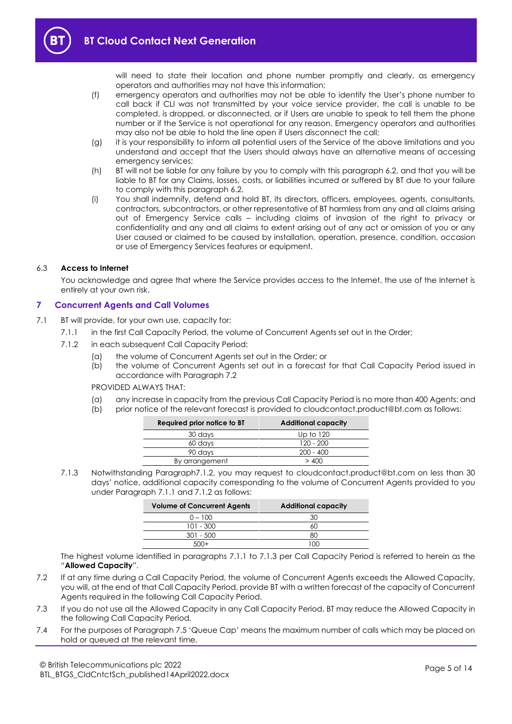will need to state their location and phone number promptly and clearly, as emergency operators and authorities may not have this information;

- (f) emergency operators and authorities may not be able to identify the User's phone number to call back if CLI was not transmitted by your voice service provider, the call is unable to be completed, is dropped, or disconnected, or if Users are unable to speak to tell them the phone number or if the Service is not operational for any reason. Emergency operators and authorities may also not be able to hold the line open if Users disconnect the call;
- (g) it is your responsibility to inform all potential users of the Service of the above limitations and you understand and accept that the Users should always have an alternative means of accessing emergency services;
- (h) BT will not be liable for any failure by you to comply with this paragraph 6.2, and that you will be liable to BT for any Claims, losses, costs, or liabilities incurred or suffered by BT due to your failure to comply with this paragraph 6.2.
- (i) You shall indemnify, defend and hold BT, its directors, officers, employees, agents, consultants, contractors, subcontractors, or other representative of BT harmless from any and all claims arising out of Emergency Service calls – including claims of invasion of the right to privacy or confidentiality and any and all claims to extent arising out of any act or omission of you or any User caused or claimed to be caused by installation, operation, presence, condition, occasion or use of Emergency Services features or equipment.

#### 6.3 **Access to Internet**

You acknowledge and agree that where the Service provides access to the Internet, the use of the Internet is entirely at your own risk.

#### <span id="page-4-0"></span>**7 Concurrent Agents and Call Volumes**

- <span id="page-4-5"></span><span id="page-4-3"></span><span id="page-4-2"></span>7.1 BT will provide, for your own use, capacity for:
	- 7.1.1 in the first Call Capacity Period, the volume of Concurrent Agents set out in the Order;
	- 7.1.2 in each subsequent Call Capacity Period:
		- (a) the volume of Concurrent Agents set out in the Order; or
		- (b) the volume of Concurrent Agents set out in a forecast for that Call Capacity Period issued in accordance with Paragraph [7.2](#page-4-1)

PROVIDED ALWAYS THAT:

- (a) any increase in capacity from the previous Call Capacity Period is no more than 400 Agents: and
- (b) prior notice of the relevant forecast is provided to cloudcontact.product@bt.com as follows:

| Required prior notice to BT | <b>Additional capacity</b> |
|-----------------------------|----------------------------|
| 30 days                     | Up to 120                  |
| 60 days                     | $120 - 200$                |
| 90 days                     | $200 - 400$                |
| By arrangement              | >400                       |
|                             |                            |

<span id="page-4-4"></span>7.1.3 Notwithstanding Paragraph7.1.2, you may request to cloudcontact.product@bt.com on less than 30 days' notice, additional capacity corresponding to the volume of Concurrent Agents provided to you under Paragraph [7.1.1](#page-4-2) an[d 7.1.2](#page-4-3) as follows:

| <b>Volume of Concurrent Agents</b> | <b>Additional capacity</b> |
|------------------------------------|----------------------------|
| $0 - 100$                          | 30                         |
| $101 - 300$                        | 60                         |
| $301 - 500$                        | 80                         |
|                                    |                            |

The highest volume identified in paragraphs [7.1.1](#page-4-2) to [7.1.3](#page-4-4) per Call Capacity Period is referred to herein as the "**Allowed Capacity**".

- <span id="page-4-1"></span>7.2 If at any time during a Call Capacity Period, the volume of Concurrent Agents exceeds the Allowed Capacity, you will, at the end of that Call Capacity Period, provide BT with a written forecast of the capacity of Concurrent Agents required in the following Call Capacity Period.
- 7.3 If you do not use all the Allowed Capacity in any Call Capacity Period, BT may reduce the Allowed Capacity in the following Call Capacity Period.
- 7.4 For the purposes of Paragraph 7.5 'Queue Cap' means the maximum number of calls which may be placed on hold or queued at the relevant time.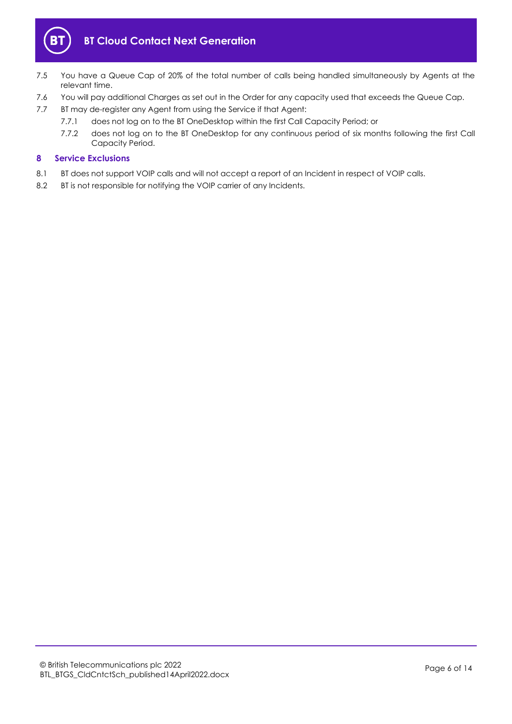

- 7.5 You have a Queue Cap of 20% of the total number of calls being handled simultaneously by Agents at the relevant time.
- 7.6 You will pay additional Charges as set out in the Order for any capacity used that exceeds the Queue Cap.
- 7.7 BT may de-register any Agent from using the Service if that Agent:
	- 7.7.1 does not log on to the BT OneDesktop within the first Call Capacity Period; or
	- 7.7.2 does not log on to the BT OneDesktop for any continuous period of six months following the first Call Capacity Period.

#### <span id="page-5-0"></span>**8 Service Exclusions**

- 8.1 BT does not support VOIP calls and will not accept a report of an Incident in respect of VOIP calls.
- 8.2 BT is not responsible for notifying the VOIP carrier of any Incidents.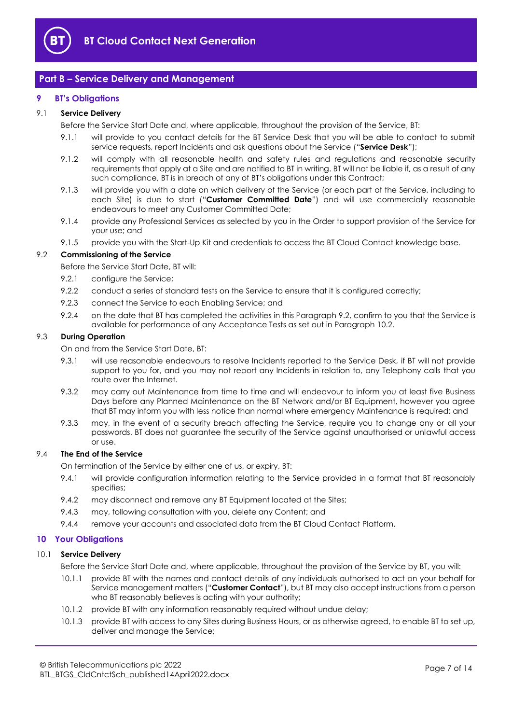

## <span id="page-6-0"></span>**Part B – Service Delivery and Management**

#### <span id="page-6-1"></span>**9 BT's Obligations**

#### <span id="page-6-10"></span><span id="page-6-3"></span>9.1 **Service Delivery**

Before the Service Start Date and, where applicable, throughout the provision of the Service, BT:

- 9.1.1 will provide to you contact details for the BT Service Desk that you will be able to contact to submit service requests, report Incidents and ask questions about the Service ("**Service Desk**");
- 9.1.2 will comply with all reasonable health and safety rules and regulations and reasonable security requirements that apply at a Site and are notified to BT in writing. BT will not be liable if, as a result of any such compliance, BT is in breach of any of BT's obligations under this Contract;
- <span id="page-6-8"></span>9.1.3 will provide you with a date on which delivery of the Service (or each part of the Service, including to each Site) is due to start ("**Customer Committed Date**") and will use commercially reasonable endeavours to meet any Customer Committed Date;
- 9.1.4 provide any Professional Services as selected by you in the Order to support provision of the Service for your use; and
- 9.1.5 provide you with the Start-Up Kit and credentials to access the BT Cloud Contact knowledge base.

#### <span id="page-6-4"></span>9.2 **Commissioning of the Service**

Before the Service Start Date, BT will:

- 9.2.1 configure the Service;
- 9.2.2 conduct a series of standard tests on the Service to ensure that it is configured correctly;
- 9.2.3 connect the Service to each Enabling Service; and
- 9.2.4 on the date that BT has completed the activities in this Paragrap[h 9.2,](#page-6-4) confirm to you that the Service is available for performance of any Acceptance Tests as set out in Paragraph [10.2.](#page-7-0)

#### <span id="page-6-6"></span><span id="page-6-5"></span>9.3 **During Operation**

On and from the Service Start Date, BT:

- 9.3.1 will use reasonable endeavours to resolve Incidents reported to the Service Desk, if BT will not provide support to you for, and you may not report any Incidents in relation to, any Telephony calls that you route over the Internet.
- <span id="page-6-7"></span>9.3.2 may carry out Maintenance from time to time and will endeavour to inform you at least five Business Days before any Planned Maintenance on the BT Network and/or BT Equipment, however you agree that BT may inform you with less notice than normal where emergency Maintenance is required: and
- 9.3.3 may, in the event of a security breach affecting the Service, require you to change any or all your passwords. BT does not guarantee the security of the Service against unauthorised or unlawful access or use.

#### 9.4 **The End of the Service**

On termination of the Service by either one of us, or expiry, BT:

- 9.4.1 will provide configuration information relating to the Service provided in a format that BT reasonably specifies;
- 9.4.2 may disconnect and remove any BT Equipment located at the Sites;
- 9.4.3 may, following consultation with you, delete any Content; and
- 9.4.4 remove your accounts and associated data from the BT Cloud Contact Platform.

#### <span id="page-6-2"></span>**10 Your Obligations**

#### <span id="page-6-9"></span>10.1 **Service Delivery**

Before the Service Start Date and, where applicable, throughout the provision of the Service by BT, you will:

- 10.1.1 provide BT with the names and contact details of any individuals authorised to act on your behalf for Service management matters ("**Customer Contact**"), but BT may also accept instructions from a person who BT reasonably believes is acting with your authority;
- 10.1.2 provide BT with any information reasonably required without undue delay;
- 10.1.3 provide BT with access to any Sites during Business Hours, or as otherwise agreed, to enable BT to set up, deliver and manage the Service;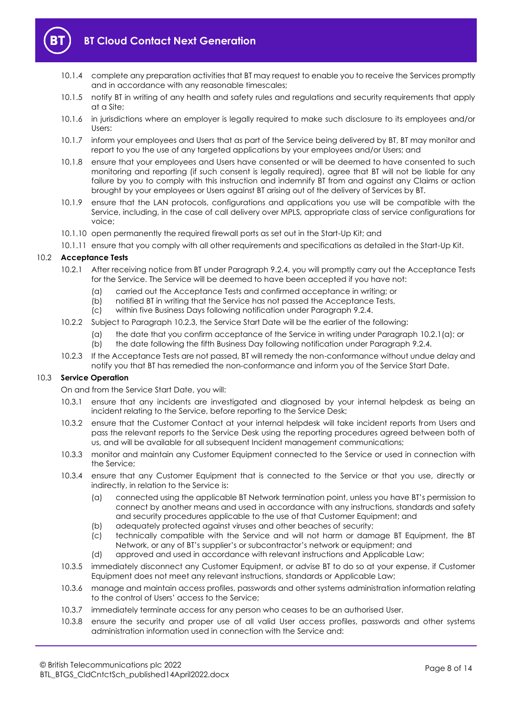

- 10.1.4 complete any preparation activities that BT may request to enable you to receive the Services promptly and in accordance with any reasonable timescales;
- 10.1.5 notify BT in writing of any health and safety rules and regulations and security requirements that apply at a Site;
- 10.1.6 in jurisdictions where an employer is legally required to make such disclosure to its employees and/or Users:
- 10.1.7 inform your employees and Users that as part of the Service being delivered by BT, BT may monitor and report to you the use of any targeted applications by your employees and/or Users; and
- 10.1.8 ensure that your employees and Users have consented or will be deemed to have consented to such monitoring and reporting (if such consent is legally required), agree that BT will not be liable for any failure by you to comply with this instruction and indemnify BT from and against any Claims or action brought by your employees or Users against BT arising out of the delivery of Services by BT.
- 10.1.9 ensure that the LAN protocols, configurations and applications you use will be compatible with the Service, including, in the case of call delivery over MPLS, appropriate class of service configurations for voice;
- 10.1.10 open permanently the required firewall ports as set out in the Start-Up Kit; and
- 10.1.11 ensure that you comply with all other requirements and specifications as detailed in the Start-Up Kit.

#### <span id="page-7-2"></span><span id="page-7-0"></span>10.2 **Acceptance Tests**

- 10.2.1 After receiving notice from BT under Paragrap[h 9.2.4,](#page-6-5) you will promptly carry out the Acceptance Tests for the Service. The Service will be deemed to have been accepted if you have not:
	- (a) carried out the Acceptance Tests and confirmed acceptance in writing; or
	- (b) notified BT in writing that the Service has not passed the Acceptance Tests,
	- (c) within five Business Days following notification under Paragraph [9.2.4.](#page-6-5)
- 10.2.2 Subject to Paragraph [10.2.3,](#page-7-1) the Service Start Date will be the earlier of the following:
	- (a) the date that you confirm acceptance of the Service in writing under Paragraph [10.2.1\(a\);](#page-7-2) or
	- (b) the date following the fifth Business Day following notification under Paragrap[h 9.2.4.](#page-6-5)
- 10.2.3 If the Acceptance Tests are not passed, BT will remedy the non-conformance without undue delay and notify you that BT has remedied the non-conformance and inform you of the Service Start Date.

#### <span id="page-7-1"></span>10.3 **Service Operation**

- On and from the Service Start Date, you will:
- 10.3.1 ensure that any incidents are investigated and diagnosed by your internal helpdesk as being an incident relating to the Service, before reporting to the Service Desk;
- 10.3.2 ensure that the Customer Contact at your internal helpdesk will take incident reports from Users and pass the relevant reports to the Service Desk using the reporting procedures agreed between both of us, and will be available for all subsequent Incident management communications;
- 10.3.3 monitor and maintain any Customer Equipment connected to the Service or used in connection with the Service;
- 10.3.4 ensure that any Customer Equipment that is connected to the Service or that you use, directly or indirectly, in relation to the Service is:
	- (a) connected using the applicable BT Network termination point, unless you have BT's permission to connect by another means and used in accordance with any instructions, standards and safety and security procedures applicable to the use of that Customer Equipment; and
	- (b) adequately protected against viruses and other beaches of security;
	- (c) technically compatible with the Service and will not harm or damage BT Equipment, the BT Network, or any of BT's supplier's or subcontractor's network or equipment; and
	- (d) approved and used in accordance with relevant instructions and Applicable Law;
- 10.3.5 immediately disconnect any Customer Equipment, or advise BT to do so at your expense, if Customer Equipment does not meet any relevant instructions, standards or Applicable Law;
- 10.3.6 manage and maintain access profiles, passwords and other systems administration information relating to the control of Users' access to the Service;
- 10.3.7 immediately terminate access for any person who ceases to be an authorised User.
- 10.3.8 ensure the security and proper use of all valid User access profiles, passwords and other systems administration information used in connection with the Service and: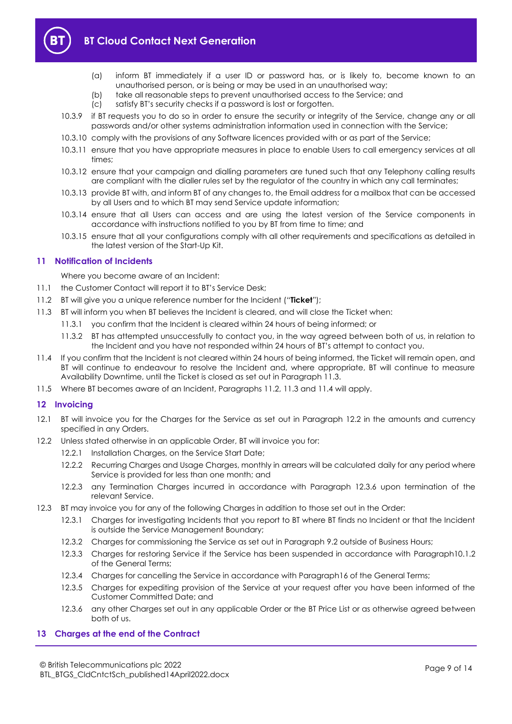

- (a) inform BT immediately if a user ID or password has, or is likely to, become known to an unauthorised person, or is being or may be used in an unauthorised way;
- (b) take all reasonable steps to prevent unauthorised access to the Service; and (c) satisfy BT's security checks if a password is lost or forgotten.
- satisfy BT's security checks if a password is lost or forgotten.
- 10.3.9 if BT requests you to do so in order to ensure the security or integrity of the Service, change any or all passwords and/or other systems administration information used in connection with the Service;
- 10.3.10 comply with the provisions of any Software licences provided with or as part of the Service;
- 10.3.11 ensure that you have appropriate measures in place to enable Users to call emergency services at all times;
- 10.3.12 ensure that your campaign and dialling parameters are tuned such that any Telephony calling results are compliant with the dialler rules set by the regulator of the country in which any call terminates;
- 10.3.13 provide BT with, and inform BT of any changes to, the Email address for a mailbox that can be accessed by all Users and to which BT may send Service update information;
- 10.3.14 ensure that all Users can access and are using the latest version of the Service components in accordance with instructions notified to you by BT from time to time; and
- 10.3.15 ensure that all your configurations comply with all other requirements and specifications as detailed in the latest version of the Start-Up Kit.

#### <span id="page-8-0"></span>**11 Notification of Incidents**

Where you become aware of an Incident:

- 11.1 the Customer Contact will report it to BT's Service Desk;
- <span id="page-8-4"></span>11.2 BT will give you a unique reference number for the Incident ("**Ticket**");
- <span id="page-8-3"></span>11.3 BT will inform you when BT believes the Incident is cleared, and will close the Ticket when:
	- 11.3.1 you confirm that the Incident is cleared within 24 hours of being informed; or
		- 11.3.2 BT has attempted unsuccessfully to contact you, in the way agreed between both of us, in relation to the Incident and you have not responded within 24 hours of BT's attempt to contact you.
- <span id="page-8-5"></span>11.4 If you confirm that the Incident is not cleared within 24 hours of being informed, the Ticket will remain open, and BT will continue to endeavour to resolve the Incident and, where appropriate, BT will continue to measure Availability Downtime, until the Ticket is closed as set out in Paragrap[h 11.3.](#page-8-3)
- 11.5 Where BT becomes aware of an Incident, Paragraphs [11.2,](#page-8-4) [11.3](#page-8-3) an[d 11.4](#page-8-5) will apply.

#### <span id="page-8-1"></span>**12 Invoicing**

- 12.1 BT will invoice you for the Charges for the Service as set out in Paragraph [12.2](#page-8-6) in the amounts and currency specified in any Orders.
- <span id="page-8-6"></span>12.2 Unless stated otherwise in an applicable Order, BT will invoice you for:
	- 12.2.1 Installation Charges, on the Service Start Date;
	- 12.2.2 Recurring Charges and Usage Charges, monthly in arrears will be calculated daily for any period where Service is provided for less than one month; and
	- 12.2.3 any Termination Charges incurred in accordance with Paragraph [12.3.6](#page-8-7) upon termination of the relevant Service.
- 12.3 BT may invoice you for any of the following Charges in addition to those set out in the Order:
	- 12.3.1 Charges for investigating Incidents that you report to BT where BT finds no Incident or that the Incident is outside the Service Management Boundary;
	- 12.3.2 Charges for commissioning the Service as set out in Paragraph [9.2](#page-6-4) outside of Business Hours;
	- 12.3.3 Charges for restoring Service if the Service has been suspended in accordance with Paragraph10.1.2 of the General Terms;
	- 12.3.4 Charges for cancelling the Service in accordance with Paragraph16 of the General Terms;
	- 12.3.5 Charges for expediting provision of the Service at your request after you have been informed of the Customer Committed Date; and
	- 12.3.6 any other Charges set out in any applicable Order or the BT Price List or as otherwise agreed between both of us.

#### <span id="page-8-7"></span><span id="page-8-2"></span>**13 Charges at the end of the Contract**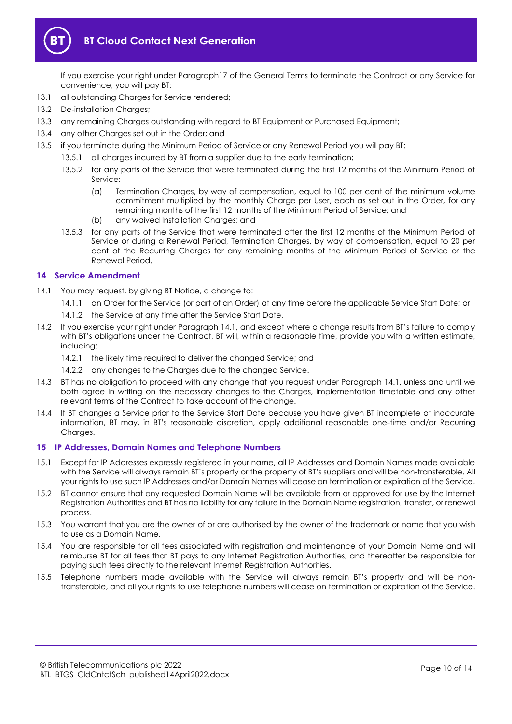

If you exercise your right under Paragraph17 of the General Terms to terminate the Contract or any Service for convenience, you will pay BT:

- 13.1 all outstanding Charges for Service rendered;
- 13.2 De-installation Charges;
- 13.3 any remaining Charges outstanding with regard to BT Equipment or Purchased Equipment;
- 13.4 any other Charges set out in the Order; and
- 13.5 if you terminate during the Minimum Period of Service or any Renewal Period you will pay BT:
	- 13.5.1 all charges incurred by BT from a supplier due to the early termination;
	- 13.5.2 for any parts of the Service that were terminated during the first 12 months of the Minimum Period of Service:
		- (a) Termination Charges, by way of compensation, equal to 100 per cent of the minimum volume commitment multiplied by the monthly Charge per User, each as set out in the Order, for any remaining months of the first 12 months of the Minimum Period of Service; and
		- (b) any waived Installation Charges; and
	- 13.5.3 for any parts of the Service that were terminated after the first 12 months of the Minimum Period of Service or during a Renewal Period, Termination Charges, by way of compensation, equal to 20 per cent of the Recurring Charges for any remaining months of the Minimum Period of Service or the Renewal Period.

#### <span id="page-9-0"></span>**14 Service Amendment**

- <span id="page-9-2"></span>14.1 You may request, by giving BT Notice, a change to:
	- 14.1.1 an Order for the Service (or part of an Order) at any time before the applicable Service Start Date; or
	- 14.1.2 the Service at any time after the Service Start Date.
- 14.2 If you exercise your right under Paragraph [14.1](#page-9-2), and except where a change results from BT's failure to comply with BT's obligations under the Contract, BT will, within a reasonable time, provide you with a written estimate, including:
	- 14.2.1 the likely time required to deliver the changed Service; and
	- 14.2.2 any changes to the Charges due to the changed Service.
- 14.3 BT has no obligation to proceed with any change that you request under Paragraph [14.1,](#page-9-2) unless and until we both agree in writing on the necessary changes to the Charges, implementation timetable and any other relevant terms of the Contract to take account of the change.
- 14.4 If BT changes a Service prior to the Service Start Date because you have given BT incomplete or inaccurate information, BT may, in BT's reasonable discretion, apply additional reasonable one-time and/or Recurring Charges.

#### <span id="page-9-1"></span>**15 IP Addresses, Domain Names and Telephone Numbers**

- 15.1 Except for IP Addresses expressly registered in your name, all IP Addresses and Domain Names made available with the Service will always remain BT's property or the property of BT's suppliers and will be non-transferable. All your rights to use such IP Addresses and/or Domain Names will cease on termination or expiration of the Service.
- 15.2 BT cannot ensure that any requested Domain Name will be available from or approved for use by the Internet Registration Authorities and BT has no liability for any failure in the Domain Name registration, transfer, or renewal process.
- 15.3 You warrant that you are the owner of or are authorised by the owner of the trademark or name that you wish to use as a Domain Name.
- 15.4 You are responsible for all fees associated with registration and maintenance of your Domain Name and will reimburse BT for all fees that BT pays to any Internet Registration Authorities, and thereafter be responsible for paying such fees directly to the relevant Internet Registration Authorities.
- 15.5 Telephone numbers made available with the Service will always remain BT's property and will be nontransferable, and all your rights to use telephone numbers will cease on termination or expiration of the Service.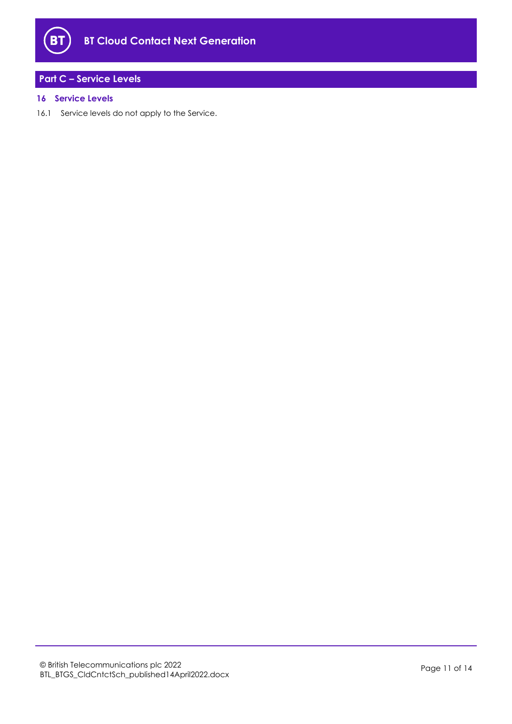

# <span id="page-10-0"></span>**Part C – Service Levels**

#### <span id="page-10-1"></span>**16 Service Levels**

16.1 Service levels do not apply to the Service.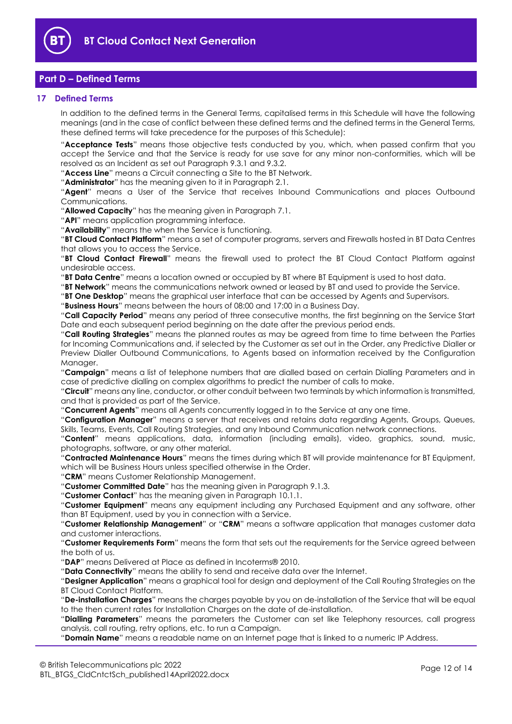

# <span id="page-11-0"></span>**Part D – Defined Terms**

#### <span id="page-11-1"></span>**17 Defined Terms**

In addition to the defined terms in the General Terms, capitalised terms in this Schedule will have the following meanings (and in the case of conflict between these defined terms and the defined terms in the General Terms, these defined terms will take precedence for the purposes of this Schedule):

"**Acceptance Tests**" means those objective tests conducted by you, which, when passed confirm that you accept the Service and that the Service is ready for use save for any minor non-conformities, which will be resolved as an Incident as set out Paragraph [9.3.1](#page-6-6) an[d 9.3.2.](#page-6-7)

"**Access Line**" means a Circuit connecting a Site to the BT Network.

"**Administrator**" has the meaning given to it in Paragraph [2.1.](#page-1-5)

"**Agent**" means a User of the Service that receives Inbound Communications and places Outbound Communications.

"**Allowed Capacity**" has the meaning given in Paragraph [7.1.](#page-4-5)

"**API**" means application programming interface.

"**Availability**" means the when the Service is functioning.

"**BT Cloud Contact Platform**" means a set of computer programs, servers and Firewalls hosted in BT Data Centres that allows you to access the Service.

"**BT Cloud Contact Firewall**" means the firewall used to protect the BT Cloud Contact Platform against undesirable access.

"**BT Data Centre**" means a location owned or occupied by BT where BT Equipment is used to host data.

"**BT Network**" means the communications network owned or leased by BT and used to provide the Service.

"**BT One Desktop**" means the graphical user interface that can be accessed by Agents and Supervisors.

"**Business Hours**" means between the hours of 08:00 and 17:00 in a Business Day.

"**Call Capacity Period**" means any period of three consecutive months, the first beginning on the Service Start Date and each subsequent period beginning on the date after the previous period ends.

"**Call Routing Strategies**" means the planned routes as may be agreed from time to time between the Parties for Incoming Communications and, if selected by the Customer as set out in the Order, any Predictive Dialler or Preview Dialler Outbound Communications, to Agents based on information received by the Configuration Manager.

"**Campaign**" means a list of telephone numbers that are dialled based on certain Dialling Parameters and in case of predictive dialling on complex algorithms to predict the number of calls to make.

"**Circuit**" means any line, conductor, or other conduit between two terminals by which information is transmitted, and that is provided as part of the Service.

"**Concurrent Agents**" means all Agents concurrently logged in to the Service at any one time.

"**Configuration Manager**" means a server that receives and retains data regarding Agents, Groups, Queues, Skills, Teams, Events, Call Routing Strategies, and any Inbound Communication network connections.

"**Content**" means applications, data, information (including emails), video, graphics, sound, music, photographs, software, or any other material.

"**Contracted Maintenance Hours**" means the times during which BT will provide maintenance for BT Equipment, which will be Business Hours unless specified otherwise in the Order.

"**CRM**" means Customer Relationship Management.

"**Customer Committed Date**" has the meaning given in Paragraph [9.1.3.](#page-6-8)

"**Customer Contact**" has the meaning given in Paragraph [10.1.1.](#page-6-9)

"**Customer Equipment**" means any equipment including any Purchased Equipment and any software, other than BT Equipment, used by you in connection with a Service.

"**Customer Relationship Management**" or "**CRM**" means a software application that manages customer data and customer interactions.

"**Customer Requirements Form**" means the form that sets out the requirements for the Service agreed between the both of us.

"**DAP**" means Delivered at Place as defined in Incoterms® 2010.

"**Data Connectivity**" means the ability to send and receive data over the Internet.

"**Designer Application**" means a graphical tool for design and deployment of the Call Routing Strategies on the BT Cloud Contact Platform.

"**De-installation Charges**" means the charges payable by you on de-installation of the Service that will be equal to the then current rates for Installation Charges on the date of de-installation.

"**Dialling Parameters**" means the parameters the Customer can set like Telephony resources, call progress analysis, call routing, retry options, etc. to run a Campaign.

"**Domain Name**" means a readable name on an Internet page that is linked to a numeric IP Address.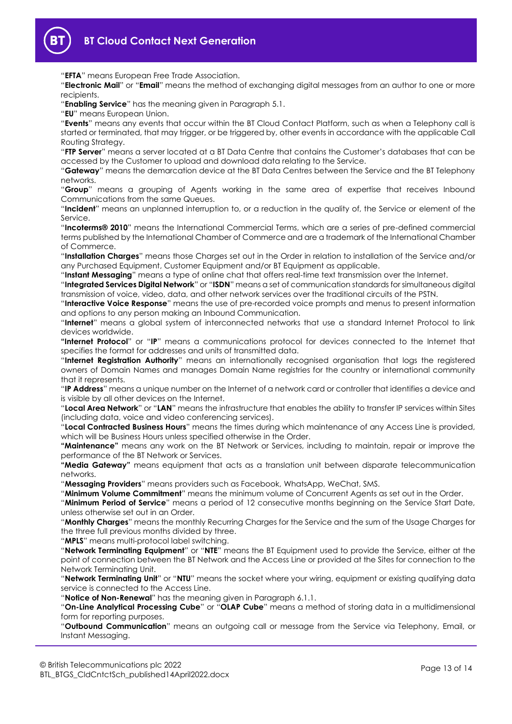

"**EFTA**" means European Free Trade Association.

"**Electronic Mail**" or "**Email**" means the method of exchanging digital messages from an author to one or more recipients.

"**Enabling Service**" has the meaning given in Paragraph [5.1.](#page-2-3)

"**EU**" means European Union.

"**Events**" means any events that occur within the BT Cloud Contact Platform, such as when a Telephony call is started or terminated, that may trigger, or be triggered by, other events in accordance with the applicable Call Routing Strategy.

"**FTP Server**" means a server located at a BT Data Centre that contains the Customer's databases that can be accessed by the Customer to upload and download data relating to the Service.

"**Gateway**" means the demarcation device at the BT Data Centres between the Service and the BT Telephony networks.

"**Group**" means a grouping of Agents working in the same area of expertise that receives Inbound Communications from the same Queues.

"**Incident**" means an unplanned interruption to, or a reduction in the quality of, the Service or element of the Service.

"**Incoterms® 2010**" means the International Commercial Terms, which are a series of pre-defined commercial terms published by the International Chamber of Commerce and are a trademark of the International Chamber of Commerce.

"**Installation Charges**" means those Charges set out in the Order in relation to installation of the Service and/or any Purchased Equipment, Customer Equipment and/or BT Equipment as applicable.

"**Instant Messaging**" means a type of online chat that offers real-time text transmission over the Internet.

"**Integrated Services Digital Network**" or "**ISDN**" means a set of communication standards for simultaneous digital transmission of voice, video, data, and other network services over the traditional circuits of the PSTN.

"**Interactive Voice Response**" means the use of pre-recorded voice prompts and menus to present information and options to any person making an Inbound Communication.

"**Internet**" means a global system of interconnected networks that use a standard Internet Protocol to link devices worldwide.

**"Internet Protocol**" or "**IP**" means a communications protocol for devices connected to the Internet that specifies the format for addresses and units of transmitted data.

"**Internet Registration Authority**" means an internationally recognised organisation that logs the registered owners of Domain Names and manages Domain Name registries for the country or international community that it represents.

"**IP Address**" means a unique number on the Internet of a network card or controller that identifies a device and is visible by all other devices on the Internet.

"**Local Area Network**" or "**LAN**" means the infrastructure that enables the ability to transfer IP services within Sites (including data, voice and video conferencing services).

"**Local Contracted Business Hours**" means the times during which maintenance of any Access Line is provided, which will be Business Hours unless specified otherwise in the Order.

**"Maintenance"** means any work on the BT Network or Services, including to maintain, repair or improve the performance of the BT Network or Services.

**"Media Gateway"** means equipment that acts as a translation unit between disparate telecommunication networks.

"**Messaging Providers**" means providers such as Facebook, WhatsApp, WeChat, SMS.

"**Minimum Volume Commitment**" means the minimum volume of Concurrent Agents as set out in the Order. "**Minimum Period of Service**" means a period of 12 consecutive months beginning on the Service Start Date,

unless otherwise set out in an Order.

"**Monthly Charges**" means the monthly Recurring Charges for the Service and the sum of the Usage Charges for the three full previous months divided by three.

"**MPLS**" means multi-protocol label switching.

"**Network Terminating Equipment**" or "**NTE**" means the BT Equipment used to provide the Service, either at the point of connection between the BT Network and the Access Line or provided at the Sites for connection to the Network Terminating Unit.

"**Network Terminating Unit**" or "**NTU**" means the socket where your wiring, equipment or existing qualifying data service is connected to the Access Line.

"**Notice of Non-Renewal**" has the meaning given in Paragraph [6.1.1.](#page-3-1)

"**On-Line Analytical Processing Cube**" or "**OLAP Cube**" means a method of storing data in a multidimensional form for reporting purposes.

"**Outbound Communication**" means an outgoing call or message from the Service via Telephony, Email, or Instant Messaging.